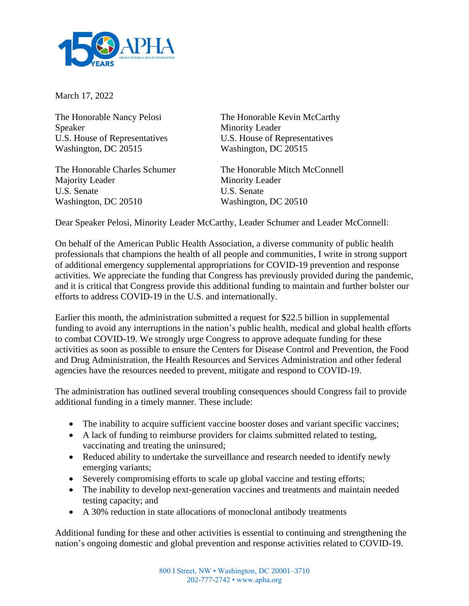

March 17, 2022

Speaker Minority Leader Washington, DC 20515 Washington, DC 20515

Majority Leader Minority Leader U.S. Senate U.S. Senate Washington, DC 20510 Washington, DC 20510

The Honorable Nancy Pelosi The Honorable Kevin McCarthy U.S. House of Representatives U.S. House of Representatives

The Honorable Charles Schumer The Honorable Mitch McConnell

Dear Speaker Pelosi, Minority Leader McCarthy, Leader Schumer and Leader McConnell:

On behalf of the American Public Health Association, a diverse community of public health professionals that champions the health of all people and communities, I write in strong support of additional emergency supplemental appropriations for COVID-19 prevention and response activities. We appreciate the funding that Congress has previously provided during the pandemic, and it is critical that Congress provide this additional funding to maintain and further bolster our efforts to address COVID-19 in the U.S. and internationally.

Earlier this month, the administration submitted a request for \$22.5 billion in supplemental funding to avoid any interruptions in the nation's public health, medical and global health efforts to combat COVID-19. We strongly urge Congress to approve adequate funding for these activities as soon as possible to ensure the Centers for Disease Control and Prevention, the Food and Drug Administration, the Health Resources and Services Administration and other federal agencies have the resources needed to prevent, mitigate and respond to COVID-19.

The administration has outlined several troubling consequences should Congress fail to provide additional funding in a timely manner. These include:

- The inability to acquire sufficient vaccine booster doses and variant specific vaccines;
- A lack of funding to reimburse providers for claims submitted related to testing, vaccinating and treating the uninsured;
- Reduced ability to undertake the surveillance and research needed to identify newly emerging variants;
- Severely compromising efforts to scale up global vaccine and testing efforts;
- The inability to develop next-generation vaccines and treatments and maintain needed testing capacity; and
- A 30% reduction in state allocations of monoclonal antibody treatments

Additional funding for these and other activities is essential to continuing and strengthening the nation's ongoing domestic and global prevention and response activities related to COVID-19.